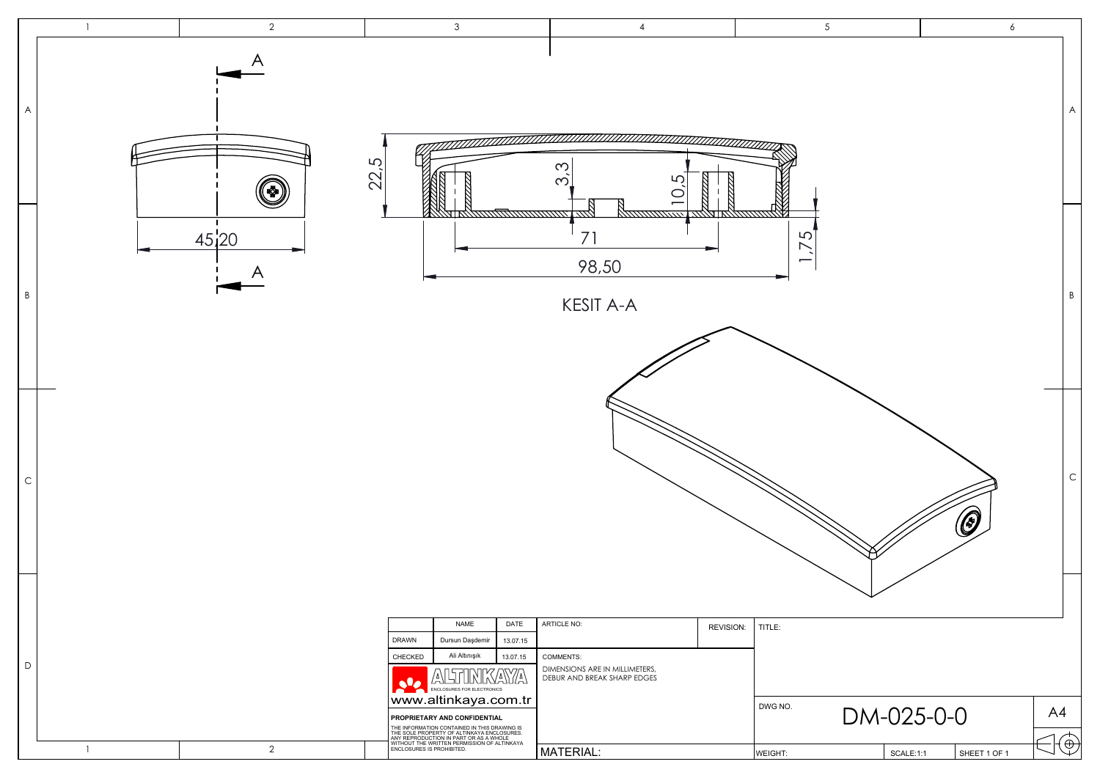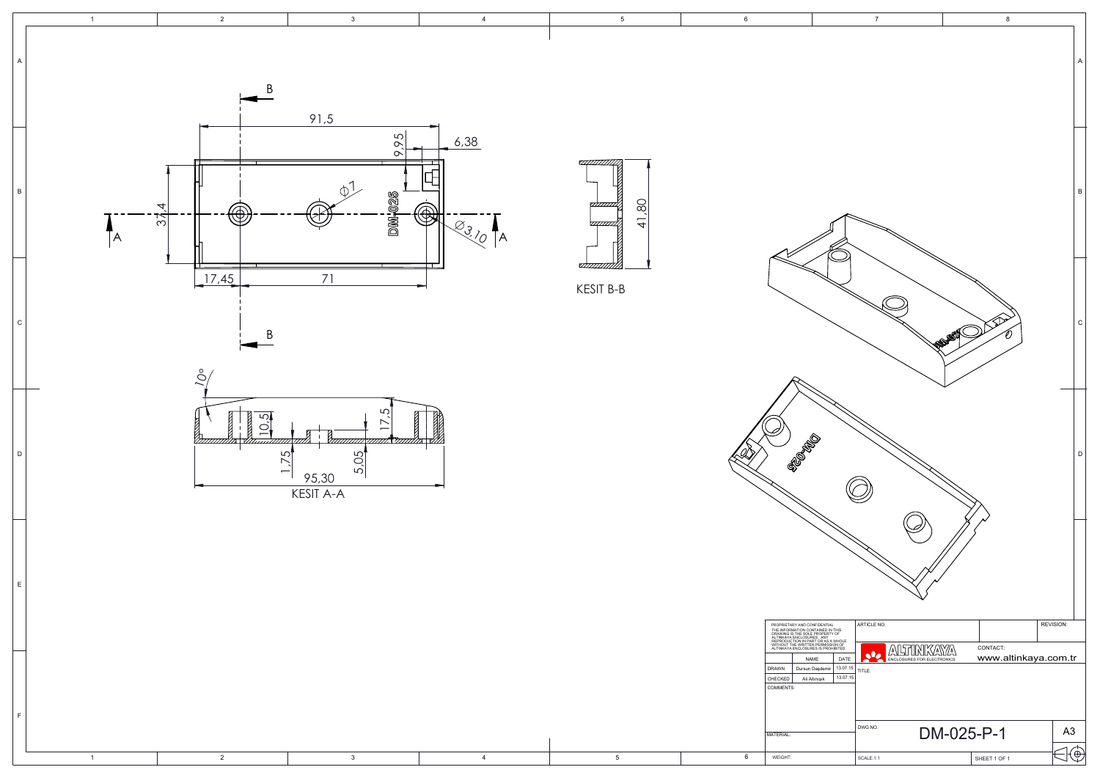